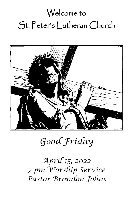# Welcome to St. Peter's Lutheran Church



# *Good Friday*

*April 15, 2022 7 pm Worship Service Pastor Brandon Johns*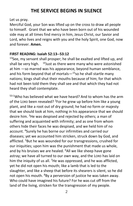# **THE SERVICE BEGINS IN SILENCE**

### Let us pray.

Merciful God, your Son was lifted up on the cross to draw all people to himself. Grant that we who have been born out of his wounded side may at all times find mercy in him, Jesus Christ, our Savior and Lord, who lives and reigns with you and the holy Spirit, one God, now and forever. **Amen.**

# **FIRST READING: Isaiah 52:13--53:12**

 $13$ See, my servant shall prosper; he shall be exalted and lifted up, and shall be very high.  $14$  Just as there were many who were astonished at him —so marred was his appearance, beyond human semblance, and his form beyond that of mortals $-$ <sup>15</sup>so he shall startle many nations; kings shall shut their mouths because of him; for that which had not been told them they shall see and that which they had not heard they shall contemplate.

 $53:1$ Who has believed what we have heard? And to whom has the arm of the LORD been revealed? <sup>2</sup>For he grew up before him like a young plant, and like a root out of dry ground; he had no form or majesty that we should look at him, nothing in his appearance that we should desire him. <sup>3</sup>He was despised and rejected by others; a man of suffering and acquainted with infirmity; and as one from whom others hide their faces he was despised, and we held him of no account. <sup>4</sup>Surely he has borne our infirmities and carried our diseases; yet we accounted him stricken, struck down by God, and afflicted. <sup>5</sup>But he was wounded for our transgressions, crushed for our iniquities; upon him was the punishment that made us whole, and by his bruises we are healed. <sup>6</sup>All we like sheep have gone astray; we have all turned to our own way, and the LORD has laid on him the iniquity of us all.  $7$ He was oppressed, and he was afflicted, yet he did not open his mouth; like a lamb that is led to the slaughter, and like a sheep that before its shearers is silent, so he did not open his mouth. <sup>8</sup>By a perversion of justice he was taken away. Who could have imagined his future? For he was cut off from the land of the living, stricken for the transgression of my people.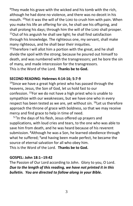$9$ They made his grave with the wicked and his tomb with the rich, although he had done no violence, and there was no deceit in his mouth. <sup>10</sup>Yet it was the will of the LORD to crush him with pain. When you make his life an offering for sin, he shall see his offspring, and shall prolong his days; through him the will of the LORD shall prosper.  $11$ Out of his anguish he shall see light; he shall find satisfaction through his knowledge. The righteous one, my servant, shall make many righteous, and he shall bear their iniquities.

<sup>12</sup>Therefore I will allot him a portion with the great, and he shall divide the spoil with the strong; because he poured out himself to death, and was numbered with the transgressors; yet he bore the sin of many, and made intercession for the transgressors. This is the Word of the Lord. **Thanks be to God.**

# **SECOND READING: Hebrews 4:14-16; 5:7-9**

<sup>14</sup>Since we have a great high priest who has passed through the heavens, Jesus, the Son of God, let us hold fast to our confession. <sup>15</sup>For we do not have a high priest who is unable to sympathize with our weaknesses, but we have one who in every respect has been tested as we are, yet without sin. <sup>16</sup>Let us therefore approach the throne of grace with boldness, so that we may receive mercy and find grace to help in time of need.

<sup>5:7</sup>In the days of his flesh, Jesus offered up prayers and supplications, with loud cries and tears, to the one who was able to save him from death, and he was heard because of his reverent submission. <sup>8</sup>Although he was a Son, he learned obedience through what he suffered; <sup>9</sup>and having been made perfect, he became the source of eternal salvation for all who obey him. This is the Word of the Lord. **Thanks be to God.**

# **GOSPEL: John 18:1--19:42**

The Passion of Our Lord according to John. Glory to you, O Lord. *Due to the length of this reading, we have not printed it in this bulletin. You are directed to follow along in your Bible.*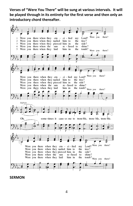**Verses of "Were You There" will be sung at various intervals. It will be played through in its entirety for the first verse and then only an introductory chord thereafter.**



**SERMON**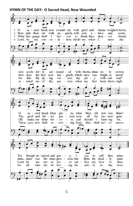**HYMN OF THE DAY: O Sacred Head, Now Wounded** 

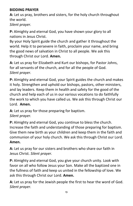# **BIDDING PRAYER**

**A:** Let us pray, brothers and sisters, for the holy church throughout the world.

*Silent prayer.*

**P:** Almighty and eternal God, you have shown your glory to all nations in Jesus Christ.

By your Holy Spirit guide the church and gather it throughout the world. Help it to persevere in faith, proclaim your name, and bring the good news of salvation in Christ to all people. We ask this through Christ our Lord. **Amen.**

**A:** Let us pray for Elizabeth and Kurt our bishops, for Pastor Johns, for all servants of the church, and for all the people of God. *Silent prayer.*

**P:** Almighty and eternal God, your Spirit guides the church and makes it holy. Strengthen and uphold our bishops, pastors, other ministers, and lay leaders. Keep them in health and safety for the good of the church and help each of us in our various vocations to do faithfully the work to which you have called us. We ask this through Christ our Lord. **Amen.**

**A:** Let us pray for those preparing for baptism. *Silent prayer.*

**P:** Almighty and eternal God, you continue to bless the church. Increase the faith and understanding of those preparing for baptism. Give them new birth as your children and keep them in the faith and communion of your holy church. We ask this through Christ our Lord. **Amen.**

**A:** Let us pray for our sisters and brothers who share our faith in Jesus Christ. *Silent prayer.*

**P:** Almighty and eternal God, you give your church unity. Look with favor on all who follow Jesus your Son. Make all the baptized one in the fullness of faith and keep us united in the fellowship of love. We ask this through Christ our Lord. **Amen.**

**A:** Let us pray for the Jewish people the first to hear the word of God. *Silent prayer.*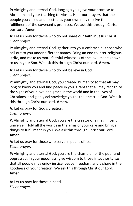**P:** Almighty and eternal God, long ago you gave your promise to Abraham and your teaching to Moses. Hear our prayers that the people you called and elected as your own may receive the fulfillment of the covenant's promises. We ask this through Christ our Lord. **Amen.**

**A:** Let us pray for those who do not share our faith in Jesus Christ. *Silent prayer.*

**P:** Almighty and eternal God, gather into your embrace all those who call out to you under different names. Bring an end to inter-religious strife, and make us more faithful witnesses of the love made known to us in your Son. We ask this through Christ our Lord. **Amen.**

**A:** Let us pray for those who do not believe in God. *Silent prayer.*

**P:** Almighty and eternal God, you created humanity so that all may long to know you and find peace in you. Grant that all may recognize the signs of your love and grace in the world and in the lives of Christians, and gladly acknowledge you as the one true God. We ask this through Christ our Lord. **Amen.**

**A:** Let us pray for God's creation. *Silent prayer.*

**P:** Almighty and eternal God, you are the creator of a magnificent universe. Hold all the worlds in the arms of your care and bring all things to fulfillment in you. We ask this through Christ our Lord. **Amen.**

**A:** Let us pray for those who serve in public office. *Silent prayer.*

**P:** Almighty and eternal God, you are the champion of the poor and oppressed. In your goodness, give wisdom to those in authority, so that all people may enjoy justice, peace, freedom, and a share in the goodness of your creation. We ask this through Christ our Lord. **Amen.**

**A:** Let us pray for those in need. *Silent prayer.*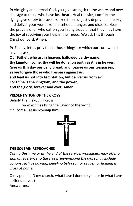**P:** Almighty and eternal God, you give strength to the weary and new courage to those who have lost heart. Heal the sick, comfort the dying, give safety to travelers, free those unjustly deprived of liberty, and deliver your world from falsehood, hunger, and disease. Hear the prayers of all who call on you in any trouble, that they may have the joy of receiving your help in their need. We ask this through Christ our Lord. **Amen.**

**P:** Finally, let us pray for all those things for which our Lord would have us ask,

**Our Father, who art in heaven, hallowed be thy name, thy kingdom come, thy will be done, on earth as it is in heaven. Give us this day our daily bread; and forgive us our trespasses, as we forgive those who trespass against us; and lead us not into temptation, but deliver us from evil. For thine is the kingdom, and the power, and the glory, forever and ever. Amen**

# **PRESENTATION OF THE CROSS**

Behold the life-giving cross,

on which has hung the Savior of the world.

# **Oh, come, let us worship him.**



# **THE SOLEMN REPROACHES**

*During this time or at the end of the service, worshipers may offer a sign of reverence to the cross. Reverencing the cross may include actions such as bowing, kneeling before it for prayer, or holding a cross at home.*

O my people, O my church, what have I done to you, or in what have I offended you? Answer me.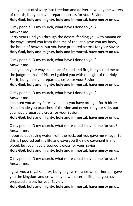I led you out of slavery into freedom and delivered you by the waters of rebirth, but you have prepared a cross for your Savior.

**Holy God, holy and mighty, holy and immortal, have mercy on us.** 

O my people, O my church, what have I done to you? Answer me.

Forty years I led you through the desert, feeding you with manna on the way; I saved you from the time of trial and gave you my body, the bread of heaven, but you have prepared a cross for your Savior. **Holy God, holy and mighty, holy and immortal, have mercy on us.**

O my people, O my church, what have I done to you? Answer me.

I led you on your way in a pillar of cloud and fire, but you led me to the judgment hall of Pilate; I guided you with the light of the Holy Spirit, but you have prepared a cross for your Savior.

# **Holy God, holy and mighty, holy and immortal, have mercy on us.**

O my people, O my church, what have I done to you? Answer me.

I planted you as my fairest vine, but you have brought forth bitter fruit; I made you branches of the vine and never left your side, but you have prepared a cross for your Savior.

# **Holy God, holy and mighty, holy and immortal, have mercy on us.**

O my people, O my church, what more could I have done for you? Answer me.

I poured out saving water from the rock, but you gave me vinegar to drink; I poured out my life and gave you the new covenant in my blood, but you have prepared a cross for your Savior.

# **Holy God, holy and mighty, holy and immortal, have mercy on us.**

O my people, O my church, what more could I have done for you? Answer me.

I gave you a royal scepter, but you gave me a crown of thorns; I gave you the kingdom and crowned you with eternal life, but you have prepared a cross for your Savior.

**Holy God, holy and mighty, holy and immortal, have mercy on us.**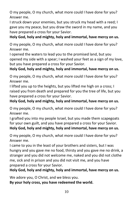O my people, O my church, what more could I have done for you? Answer me.

I struck down your enemies, but you struck my head with a reed; I gave you my peace, but you draw the sword in my name, and you have prepared a cross for your Savior.

# **Holy God, holy and mighty, holy and immortal, have mercy on us.**

O my people, O my church, what more could I have done for you? Answer me.

I opened the waters to lead you to the promised land, but you opened my side with a spear; I washed your feet as a sign of my love, but you have prepared a cross for your Savior.

# **Holy God, holy and mighty, holy and immortal, have mercy on us.**

O my people, O my church, what more could I have done for you? Answer me.

I lifted you up to the heights, but you lifted me high on a cross; I raised you from death and prepared for you the tree of life, but you have prepared a cross for your Savior.

# **Holy God, holy and mighty, holy and immortal, have mercy on us.**

O my people, O my church, what more could I have done for you? Answer me.

I grafted you into my people Israel, but you made them scapegoats for your own guilt, and you have prepared a cross for your Savior.

# **Holy God, holy and mighty, holy and immortal, have mercy on us.**

O my people, O my church, what more could I have done for you? Answer me.

I came to you in the least of your brothers and sisters, but I was hungry and you gave me no food, thirsty and you gave me no drink, a stranger and you did not welcome me, naked and you did not clothe me, sick and in prison and you did not visit me, and you have prepared a cross for your Savior.

# **Holy God, holy and mighty, holy and immortal, have mercy on us.**

We adore you, O Christ, and we bless you.

**By your holy cross, you have redeemed the world.**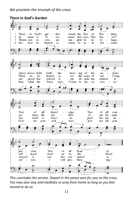### *We proclaim the triumph of the cross:*

#### **There in God's Garden** ℴ Wis There God's den stands the Tree of dom,  $\mathbf{1}$ in gar  $\overline{\phantom{a}}$ "Our Sav ior!" Its Je name that says.  $\overline{c}$ name is  $\overline{a}$ sus. 3 Thorns not its own are tan - gled in its  $f_{\rm O}$ liage:  $\overline{\mathbf{A}}$ See how its branch - es reach to us in wel come; ø the heal - ing of whose leaves hold forth the na tions: There its branch es see the scars of suf f'ring; on  $our$ greed has starved it. our de - spite has choked it. Voice "Come hear what the says, to me, ye wea ry! c ಕ Tree Tree all of all knowl edge, of com see there the ten drils of  $our$ hu - man Yet, lives! grief  $de$ look! it its has not Give all me your sick ness. give me your Ā  $\overline{\bf \infty}$ pas Tree of all beau sion. ty. self hood feed on its life blood. stroyed fire con sumed it. it nor give ing." sor row, 1 will bless 8

*This concludes the service. Depart in the peace won for you on the cross. You may also stay and meditate or pray from home as long as you feel moved to do so.*